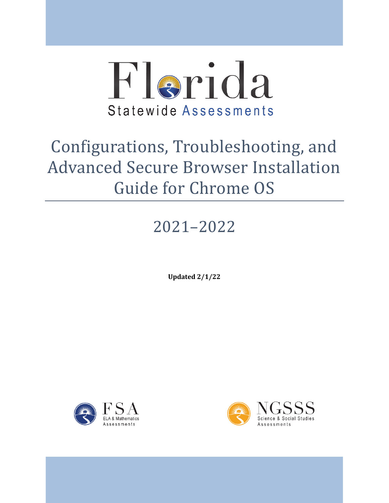

# Configurations, Troubleshooting, and Advanced Secure Browser Installation Guide for Chrome OS

# 2021–2022

**Updated 2/1/22** 



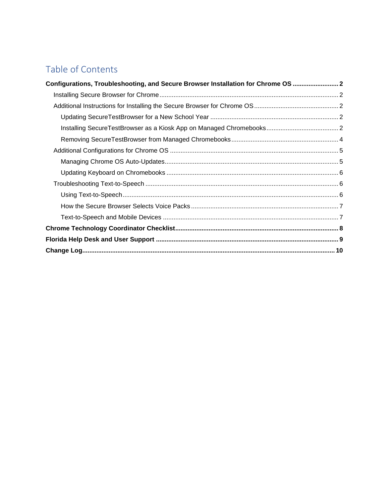## Table of Contents

| Configurations, Troubleshooting, and Secure Browser Installation for Chrome OS  2 |  |
|-----------------------------------------------------------------------------------|--|
|                                                                                   |  |
|                                                                                   |  |
|                                                                                   |  |
|                                                                                   |  |
|                                                                                   |  |
|                                                                                   |  |
|                                                                                   |  |
|                                                                                   |  |
|                                                                                   |  |
|                                                                                   |  |
|                                                                                   |  |
|                                                                                   |  |
|                                                                                   |  |
|                                                                                   |  |
|                                                                                   |  |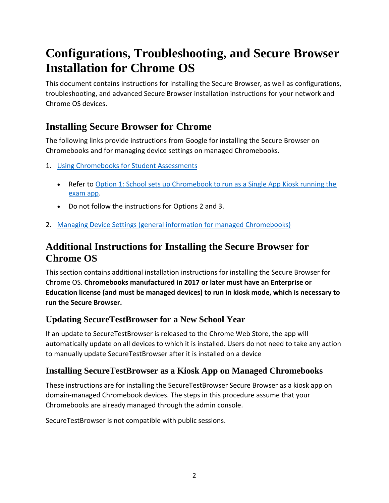## <span id="page-2-0"></span>**Configurations, Troubleshooting, and Secure Browser Installation for Chrome OS**

 This document contains instructions for installing the Secure Browser, as well as configurations, troubleshooting, and advanced Secure Browser installation instructions for your network and Chrome OS devices.

## <span id="page-2-1"></span>**Installing Secure Browser for Chrome**

 The following links provide instructions from Google for installing the Secure Browser on Chromebooks and for managing device settings on managed Chromebooks.

- 1. Using Chromebooks for Student Assessments
	- Refer to Option 1: School sets up Chromebook to run as a Single App Kiosk running the [exam app.](https://support.google.com/chrome/a/answer/3273084#1)
	- Do not follow the instructions for Options 2 and 3.
- 2. [Managing Device Settings \(general information for managed Chromebooks\)](https://support.google.com/chrome/a/answer/1375678)

## <span id="page-2-2"></span>**Additional Instructions for Installing the Secure Browser for Chrome OS**

 This section contains additional installation instructions for installing the Secure Browser for  Chrome OS. **Chromebooks manufactured in 2017 or later must have an Enterprise or Education license (and must be managed devices) to run in kiosk mode, which is necessary to run the Secure Browser.** 

### <span id="page-2-3"></span>**Updating SecureTestBrowser for a New School Year**

 If an update to SecureTestBrowser is released to the Chrome Web Store, the app will automatically update on all devices to which it is installed. Users do not need to take any action to manually update SecureTestBrowser after it is installed on a device

### <span id="page-2-4"></span>**Installing SecureTestBrowser as a Kiosk App on Managed Chromebooks**

 These instructions are for installing the SecureTestBrowser Secure Browser as a kiosk app on domain-managed Chromebook devices. The steps in this procedure assume that your Chromebooks are already managed through the admin console.

SecureTestBrowser is not compatible with public sessions.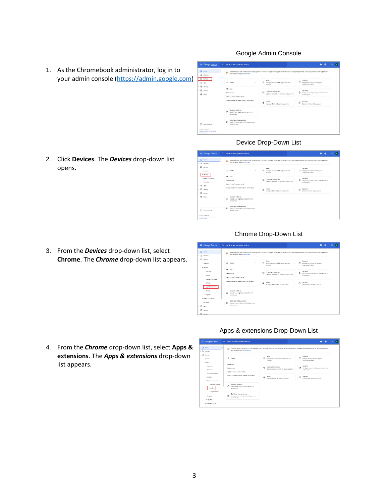1. As the Chromebook administrator, log in to your admin console [\(https://admin.google.com\)](https://admin.google.com/)

2. Click **Devices**. The *Devices* drop-down list opens.

3. From the *Devices* drop-down list, select **Chrome**. The *Chrome* drop-down list appears.

#### Google Admin Console



#### Device Drop-Down List



#### Chrome Drop-Down List

| $\equiv$ Google Admin                                 | Q. Search for users, groups or settings                                                                                                                                                                           |                                                                                           | a<br>ø                                                                         | 血<br>Гв |
|-------------------------------------------------------|-------------------------------------------------------------------------------------------------------------------------------------------------------------------------------------------------------------------|-------------------------------------------------------------------------------------------|--------------------------------------------------------------------------------|---------|
| @ Home<br>· & Deschare                                | Welcome to your new Admin console homepage! You'll find easier navigation throughout the Admin console using the updated left hand navigation bar with its expandable<br>y,<br>and collapsible display Learn more |                                                                                           |                                                                                |         |
| - ED Devices<br>Overview                              | $\mathbf{A}$<br>$\sigma_{\rm t}$<br><b>Users</b>                                                                                                                                                                  | Apps<br>₩<br>Manage web and mobile app access and<br>settings                             | Devices<br>匝<br>Manage devices and secure your<br>organizationis data          |         |
| v Chrome<br>Currière<br>Devices                       | Add a user<br>Delate a user<br>Update a user's name or email                                                                                                                                                      | Organizational units<br>0 <sup>o</sup><br>Organize upers into units for applying policies | Security<br>ø<br>Configure security settings, and view alerts<br>and analytics |         |
| Managed browsers<br>> Settings<br>> Accs & extensions | Create an alternate email address (email alias)                                                                                                                                                                   | Rules<br>⊛<br>Manage rules to set alorts and actions                                      | Support<br>C.<br>Cornect with the Help Assistant                               |         |
| > Printers<br>> Reports                               | Account settings<br>Manage your organization's profile and<br>preferences.                                                                                                                                        |                                                                                           |                                                                                |         |
| > Mcbile & endpoints<br>Metwerks<br>. 10<br>Anto      | Buildings and resources<br>B <sub>1</sub><br>Manage and monitor your buildings, rooms,<br>and requires.                                                                                                           |                                                                                           |                                                                                |         |
| - 0<br>Security<br>$\bullet$ $\circ$ Appoint          |                                                                                                                                                                                                                   |                                                                                           |                                                                                |         |

4. From the *Chrome* drop-down list, select **Apps & extensions**. The *Apps & extensions* drop-down list appears.

#### Apps & extensions Drop-Down List

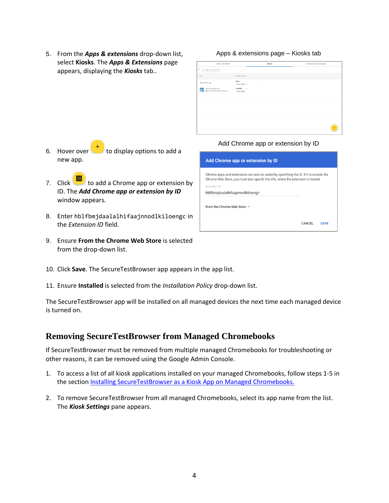5. From the *Apps & extensions* drop-down list, select **Kiosks**. The *Apps & Extensions* page appears, displaying the *Kiosks* tab..

Apps & extensions page – Kiosks tab

| USERS & BROWSERS                                       |                                    | <b>SX20IX</b>            | MANAGED GUEST SESSIONS |
|--------------------------------------------------------|------------------------------------|--------------------------|------------------------|
| $+$ Search or add a filter                             |                                    |                          |                        |
| App                                                    | Installation policy                |                          |                        |
| Auto launch app                                        | None<br>Locally applied $=$        | $\overline{\phantom{a}}$ |                        |
| SecureTestBrowser<br>壽<br>@ http://automaticalance.com | Installed<br>$\;$<br>Locally added |                          |                        |
|                                                        |                                    |                          |                        |
|                                                        |                                    |                          |                        |
|                                                        |                                    |                          |                        |
|                                                        |                                    |                          |                        |
|                                                        |                                    |                          |                        |
|                                                        |                                    |                          | $\ddot{}$              |
|                                                        |                                    |                          |                        |

- 6. Hover over  $\mathbf{t}$  to display options to add a new app.
- 7. Click to add a Chrome app or extension by ID. The *Add Chrome app or extension by ID*  window appears.
- 8. Enter hblfbmjdaalalhifaajnnodlkiloengc in the *Extension ID* field.
- 9. Ensure **From the Chrome Web Store** is selected from the drop-down list.



| Add Chrome app or extension by ID                                                                                                                                         |        |             |
|---------------------------------------------------------------------------------------------------------------------------------------------------------------------------|--------|-------------|
| Chrome apps and extensions can also be added by specifying the ID. If it is outside the<br>Chrome Web Store, you must also specify the URL where the extension is hosted. |        |             |
| Extension ID                                                                                                                                                              |        |             |
| hblfbmjdaalalhifaajnnodlkiloengc                                                                                                                                          |        |             |
| From the Chrome Web Store $\overline{\phantom{a}}$                                                                                                                        |        |             |
|                                                                                                                                                                           | CANCEL | <b>SAVF</b> |

- 10. Click **Save**. The SecureTestBrowser app appears in the app list.
- 11. Ensure **Installed** is selected from the *Installation Policy* drop-down list.

The SecureTestBrowser app will be installed on all managed devices the next time each managed device is turned on.

#### <span id="page-4-0"></span>**Removing SecureTestBrowser from Managed Chromebooks**

If SecureTestBrowser must be removed from multiple managed Chromebooks for troubleshooting or other reasons, it can be removed using the Google Admin Console.

- 1. To access a list of all kiosk applications installed on your managed Chromebooks, follow steps 1-5 in the section [Installing SecureTestBrowser as a Kiosk App on Managed Chromebooks.](#page-2-4)
- 2. To remove SecureTestBrowser from all managed Chromebooks, select its app name from the list. The *Kiosk Settings* pane appears.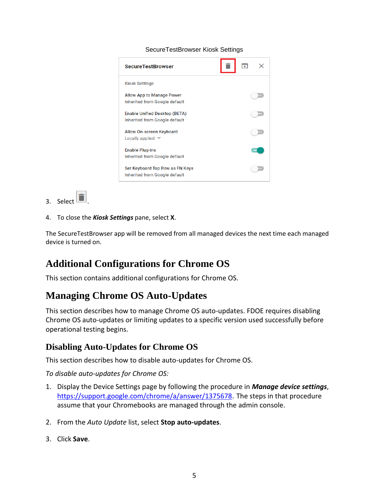#### SecureTestBrowser Kiosk Settings

| <b>Kiosk Settings</b>                                                 |  |
|-----------------------------------------------------------------------|--|
| Allow App to Manage Power<br>Inherited from Google default            |  |
| <b>Enable Unified Desktop (BETA)</b><br>Inherited from Google default |  |
| Allow On-screen Keyboard<br>Locally applied $\blacktriangledown$      |  |
| <b>Enable Plug-ins</b><br>Inherited from Google default               |  |
| Set Keyboard Top Row as FN Keys<br>Inherited from Google default      |  |

- 3. Select  $\Box$
- 4. To close the *Kiosk Settings* pane, select **X**.

The SecureTestBrowser app will be removed from all managed devices the next time each managed device is turned on.

## <span id="page-5-0"></span>**Additional Configurations for Chrome OS**

This section contains additional configurations for Chrome OS.

### <span id="page-5-1"></span>**Managing Chrome OS Auto-Updates**

 Chrome OS auto-updates or limiting updates to a specific version used successfully before This section describes how to manage Chrome OS auto-updates. FDOE requires disabling operational testing begins.

#### **Disabling Auto-Updates for Chrome OS**

This section describes how to disable auto-updates for Chrome OS.

*To disable auto-updates for Chrome OS:* 

- 1. Display the Device Settings page by following the procedure in *Manage device settings*, https://support.google.com/chrome/a/answer/1375678</u>. The steps in that procedure assume that your Chromebooks are managed through the admin console.
- 2. From the *Auto Update* list, select **Stop auto-updates**.
- 3. Click **Save**.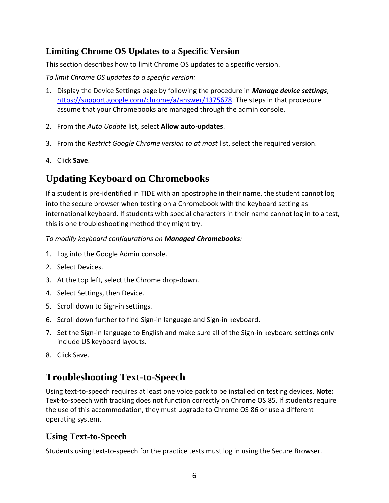### **Limiting Chrome OS Updates to a Specific Version**

This section describes how to limit Chrome OS updates to a specific version.

 *To limit Chrome OS updates to a specific version:* 

- 1. Display the Device Settings page by following the procedure in *Manage device settings*, [https://support.google.com/chrome/a/answer/1375678.](https://support.google.com/chrome/a/answer/1375678) The steps in that procedure assume that your Chromebooks are managed through the admin console.
- 2. From the *Auto Update* list, select **Allow auto-updates**.
- 3. From the *Restrict Google Chrome version to at most* list, select the required version.
- 4. Click **Save**.

## <span id="page-6-0"></span>**Updating Keyboard on Chromebooks**

 If a student is pre-identified in TIDE with an apostrophe in their name, the student cannot log into the secure browser when testing on a Chromebook with the keyboard setting as international keyboard. If students with special characters in their name cannot log in to a test, this is one troubleshooting method they might try.

 *To modify keyboard configurations on Managed Chromebooks:* 

- 1. Log into the Google Admin console.
- 2. Select Devices.
- 3. At the top left, select the Chrome drop-down.
- 4. Select Settings, then Device.
- 5. Scroll down to Sign-in settings.
- 6. Scroll down further to find Sign-in language and Sign-in keyboard.
- 7. Set the Sign-in language to English and make sure all of the Sign-in keyboard settings only include US keyboard layouts.
- 8. Click Save.

## <span id="page-6-1"></span>**Troubleshooting Text-to-Speech**

 Using text-to-speech requires at least one voice pack to be installed on testing devices. **Note:**  Text-to-speech with tracking does not function correctly on Chrome OS 85. If students require the use of this accommodation, they must upgrade to Chrome OS 86 or use a different operating system.

### <span id="page-6-2"></span>**Using Text-to-Speech**

Students using text-to-speech for the practice tests must log in using the Secure Browser.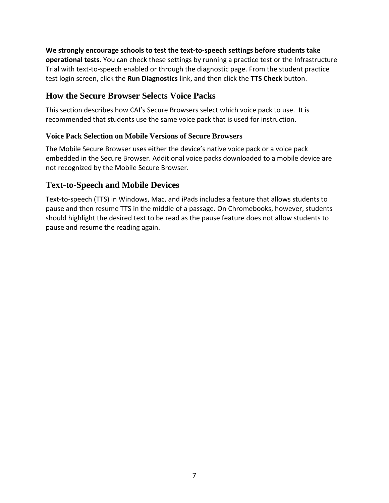**We strongly encourage schools to test the text-to-speech settings before students take operational tests.** You can check these settings by running a practice test or the Infrastructure Trial with text-to-speech enabled or through the diagnostic page. From the student practice test login screen, click the **Run Diagnostics** link, and then click the **TTS Check** button.

#### <span id="page-7-0"></span>**How the Secure Browser Selects Voice Packs**

This section describes how CAI's Secure Browsers select which voice pack to use. It is recommended that students use the same voice pack that is used for instruction.

#### **Voice Pack Selection on Mobile Versions of Secure Browsers**

The Mobile Secure Browser uses either the device's native voice pack or a voice pack embedded in the Secure Browser. Additional voice packs downloaded to a mobile device are not recognized by the Mobile Secure Browser.

#### <span id="page-7-1"></span>**Text-to-Speech and Mobile Devices**

 pause and then resume TTS in the middle of a passage. On Chromebooks, however, students should highlight the desired text to be read as the pause feature does not allow students to pause and resume the reading again. Text-to-speech (TTS) in Windows, Mac, and iPads includes a feature that allows students to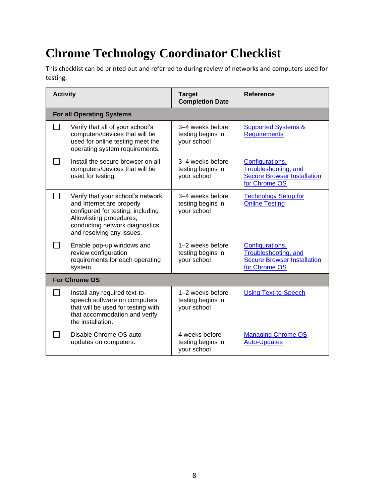## <span id="page-8-0"></span>**Chrome Technology Coordinator Checklist**

This checklist can be printed out and referred to during review of networks and computers used for testing.

| <b>Activity</b> |                                                                                                                                                                                                 | <b>Target</b><br><b>Completion Date</b>                | <b>Reference</b>                                                                               |  |  |
|-----------------|-------------------------------------------------------------------------------------------------------------------------------------------------------------------------------------------------|--------------------------------------------------------|------------------------------------------------------------------------------------------------|--|--|
|                 | <b>For all Operating Systems</b>                                                                                                                                                                |                                                        |                                                                                                |  |  |
|                 | Verify that all of your school's<br>computers/devices that will be<br>used for online testing meet the<br>operating system requirements.                                                        | 3–4 weeks before<br>testing begins in<br>your school   | <b>Supported Systems &amp;</b><br><b>Requirements</b>                                          |  |  |
|                 | Install the secure browser on all<br>computers/devices that will be<br>used for testing.                                                                                                        | 3–4 weeks before<br>testing begins in<br>your school   | Configurations,<br>Troubleshooting, and<br><b>Secure Browser Installation</b><br>for Chrome OS |  |  |
|                 | Verify that your school's network<br>and Internet are properly<br>configured for testing, including<br>Allowlisting procedures,<br>conducting network diagnostics,<br>and resolving any issues. | 3-4 weeks before<br>testing begins in<br>your school   | <b>Technology Setup for</b><br><b>Online Testing</b>                                           |  |  |
|                 | Enable pop-up windows and<br>review configuration<br>requirements for each operating<br>system.                                                                                                 | 1-2 weeks before<br>testing begins in<br>your school   | Configurations,<br>Troubleshooting, and<br><b>Secure Browser Installation</b><br>for Chrome OS |  |  |
|                 | <b>For Chrome OS</b>                                                                                                                                                                            |                                                        |                                                                                                |  |  |
|                 | Install any required text-to-<br>speech software on computers<br>that will be used for testing with<br>that accommodation and verify<br>the installation.                                       | $1-2$ weeks before<br>testing begins in<br>your school | <b>Using Text-to-Speech</b>                                                                    |  |  |
|                 | Disable Chrome OS auto-<br>updates on computers.                                                                                                                                                | 4 weeks before<br>testing begins in<br>your school     | <b>Managing Chrome OS</b><br><b>Auto-Updates</b>                                               |  |  |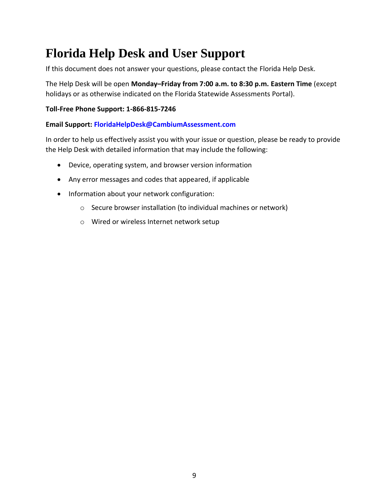## <span id="page-9-0"></span>**Florida Help Desk and User Support**

If this document does not answer your questions, please contact the Florida Help Desk.

 The Help Desk will be open **Monday–Friday from 7:00 a.m. to 8:30 p.m. Eastern Time** (except holidays or as otherwise indicated on the Florida Statewide Assessments Portal).

#### **Toll-Free Phone Support: 1-866-815-7246**

#### **Email Support: [FloridaHelpDesk@CambiumAssessment.com](mailto:FloridaHelpDesk@CambiumAssessment.com)**

 In order to help us effectively assist you with your issue or question, please be ready to provide the Help Desk with detailed information that may include the following:

- Device, operating system, and browser version information
- Any error messages and codes that appeared, if applicable
- Information about your network configuration:
	- o Secure browser installation (to individual machines or network)
	- o Wired or wireless Internet network setup